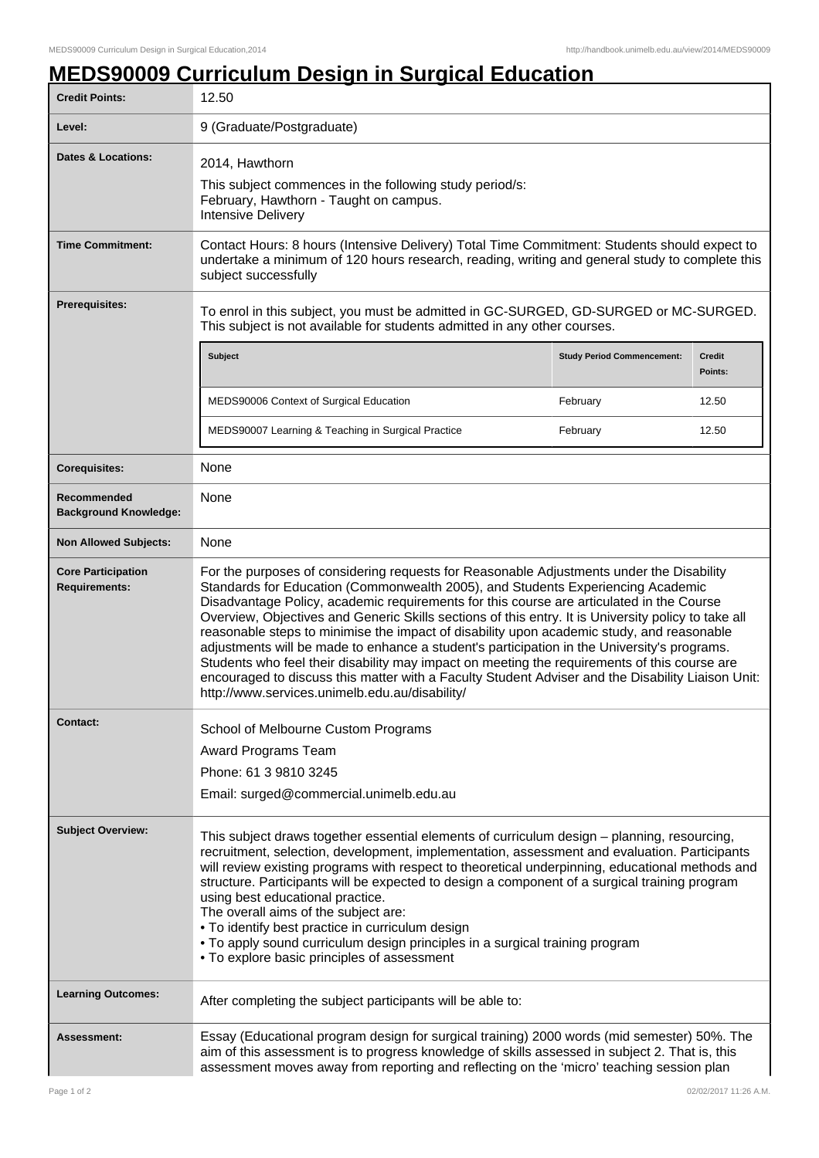٦

## **MEDS90009 Curriculum Design in Surgical Education**

| <b>Credit Points:</b>                             | 12.50                                                                                                                                                                                                                                                                                                                                                                                                                                                                                                                                                                                                                                                                                                                                                                                                                             |                                   |                          |
|---------------------------------------------------|-----------------------------------------------------------------------------------------------------------------------------------------------------------------------------------------------------------------------------------------------------------------------------------------------------------------------------------------------------------------------------------------------------------------------------------------------------------------------------------------------------------------------------------------------------------------------------------------------------------------------------------------------------------------------------------------------------------------------------------------------------------------------------------------------------------------------------------|-----------------------------------|--------------------------|
| Level:                                            | 9 (Graduate/Postgraduate)                                                                                                                                                                                                                                                                                                                                                                                                                                                                                                                                                                                                                                                                                                                                                                                                         |                                   |                          |
| <b>Dates &amp; Locations:</b>                     | 2014, Hawthorn<br>This subject commences in the following study period/s:<br>February, Hawthorn - Taught on campus.<br><b>Intensive Delivery</b>                                                                                                                                                                                                                                                                                                                                                                                                                                                                                                                                                                                                                                                                                  |                                   |                          |
| <b>Time Commitment:</b>                           | Contact Hours: 8 hours (Intensive Delivery) Total Time Commitment: Students should expect to<br>undertake a minimum of 120 hours research, reading, writing and general study to complete this<br>subject successfully                                                                                                                                                                                                                                                                                                                                                                                                                                                                                                                                                                                                            |                                   |                          |
| Prerequisites:                                    | To enrol in this subject, you must be admitted in GC-SURGED, GD-SURGED or MC-SURGED.<br>This subject is not available for students admitted in any other courses.                                                                                                                                                                                                                                                                                                                                                                                                                                                                                                                                                                                                                                                                 |                                   |                          |
|                                                   | Subject                                                                                                                                                                                                                                                                                                                                                                                                                                                                                                                                                                                                                                                                                                                                                                                                                           | <b>Study Period Commencement:</b> | <b>Credit</b><br>Points: |
|                                                   | MEDS90006 Context of Surgical Education                                                                                                                                                                                                                                                                                                                                                                                                                                                                                                                                                                                                                                                                                                                                                                                           | February                          | 12.50                    |
|                                                   | MEDS90007 Learning & Teaching in Surgical Practice                                                                                                                                                                                                                                                                                                                                                                                                                                                                                                                                                                                                                                                                                                                                                                                | February                          | 12.50                    |
| <b>Corequisites:</b>                              | None                                                                                                                                                                                                                                                                                                                                                                                                                                                                                                                                                                                                                                                                                                                                                                                                                              |                                   |                          |
| Recommended<br><b>Background Knowledge:</b>       | None                                                                                                                                                                                                                                                                                                                                                                                                                                                                                                                                                                                                                                                                                                                                                                                                                              |                                   |                          |
| <b>Non Allowed Subjects:</b>                      | None                                                                                                                                                                                                                                                                                                                                                                                                                                                                                                                                                                                                                                                                                                                                                                                                                              |                                   |                          |
| <b>Core Participation</b><br><b>Requirements:</b> | For the purposes of considering requests for Reasonable Adjustments under the Disability<br>Standards for Education (Commonwealth 2005), and Students Experiencing Academic<br>Disadvantage Policy, academic requirements for this course are articulated in the Course<br>Overview, Objectives and Generic Skills sections of this entry. It is University policy to take all<br>reasonable steps to minimise the impact of disability upon academic study, and reasonable<br>adjustments will be made to enhance a student's participation in the University's programs.<br>Students who feel their disability may impact on meeting the requirements of this course are<br>encouraged to discuss this matter with a Faculty Student Adviser and the Disability Liaison Unit:<br>http://www.services.unimelb.edu.au/disability/ |                                   |                          |
| <b>Contact:</b>                                   | School of Melbourne Custom Programs                                                                                                                                                                                                                                                                                                                                                                                                                                                                                                                                                                                                                                                                                                                                                                                               |                                   |                          |
|                                                   | Award Programs Team                                                                                                                                                                                                                                                                                                                                                                                                                                                                                                                                                                                                                                                                                                                                                                                                               |                                   |                          |
|                                                   | Phone: 61 3 9810 3245                                                                                                                                                                                                                                                                                                                                                                                                                                                                                                                                                                                                                                                                                                                                                                                                             |                                   |                          |
|                                                   | Email: surged@commercial.unimelb.edu.au                                                                                                                                                                                                                                                                                                                                                                                                                                                                                                                                                                                                                                                                                                                                                                                           |                                   |                          |
| <b>Subject Overview:</b>                          | This subject draws together essential elements of curriculum design - planning, resourcing,<br>recruitment, selection, development, implementation, assessment and evaluation. Participants<br>will review existing programs with respect to theoretical underpinning, educational methods and<br>structure. Participants will be expected to design a component of a surgical training program<br>using best educational practice.<br>The overall aims of the subject are:<br>. To identify best practice in curriculum design<br>. To apply sound curriculum design principles in a surgical training program<br>• To explore basic principles of assessment                                                                                                                                                                    |                                   |                          |
| <b>Learning Outcomes:</b>                         | After completing the subject participants will be able to:                                                                                                                                                                                                                                                                                                                                                                                                                                                                                                                                                                                                                                                                                                                                                                        |                                   |                          |
| <b>Assessment:</b>                                | Essay (Educational program design for surgical training) 2000 words (mid semester) 50%. The<br>aim of this assessment is to progress knowledge of skills assessed in subject 2. That is, this<br>assessment moves away from reporting and reflecting on the 'micro' teaching session plan                                                                                                                                                                                                                                                                                                                                                                                                                                                                                                                                         |                                   |                          |